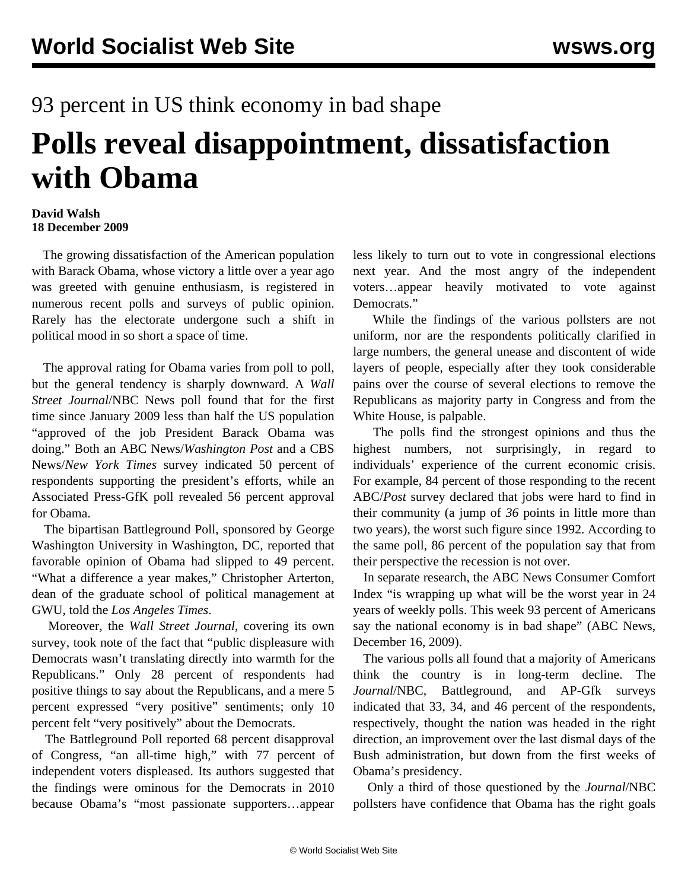## 93 percent in US think economy in bad shape **Polls reveal disappointment, dissatisfaction with Obama**

## **David Walsh 18 December 2009**

 The growing dissatisfaction of the American population with Barack Obama, whose victory a little over a year ago was greeted with genuine enthusiasm, is registered in numerous recent polls and surveys of public opinion. Rarely has the electorate undergone such a shift in political mood in so short a space of time.

 The approval rating for Obama varies from poll to poll, but the general tendency is sharply downward. A *Wall Street Journal*/NBC News poll found that for the first time since January 2009 less than half the US population "approved of the job President Barack Obama was doing." Both an ABC News/*Washington Post* and a CBS News/*New York Times* survey indicated 50 percent of respondents supporting the president's efforts, while an Associated Press-GfK poll revealed 56 percent approval for Obama.

 The bipartisan Battleground Poll, sponsored by George Washington University in Washington, DC, reported that favorable opinion of Obama had slipped to 49 percent. "What a difference a year makes," Christopher Arterton, dean of the graduate school of political management at GWU, told the *Los Angeles Times*.

 Moreover, the *Wall Street Journal*, covering its own survey, took note of the fact that "public displeasure with Democrats wasn't translating directly into warmth for the Republicans." Only 28 percent of respondents had positive things to say about the Republicans, and a mere 5 percent expressed "very positive" sentiments; only 10 percent felt "very positively" about the Democrats.

 The Battleground Poll reported 68 percent disapproval of Congress, "an all-time high," with 77 percent of independent voters displeased. Its authors suggested that the findings were ominous for the Democrats in 2010 because Obama's "most passionate supporters…appear less likely to turn out to vote in congressional elections next year. And the most angry of the independent voters…appear heavily motivated to vote against Democrats."

 While the findings of the various pollsters are not uniform, nor are the respondents politically clarified in large numbers, the general unease and discontent of wide layers of people, especially after they took considerable pains over the course of several elections to remove the Republicans as majority party in Congress and from the White House, is palpable.

 The polls find the strongest opinions and thus the highest numbers, not surprisingly, in regard to individuals' experience of the current economic crisis. For example, 84 percent of those responding to the recent ABC/*Post* survey declared that jobs were hard to find in their community (a jump of *36* points in little more than two years), the worst such figure since 1992. According to the same poll, 86 percent of the population say that from their perspective the recession is not over.

 In separate research, the ABC News Consumer Comfort Index "is wrapping up what will be the worst year in 24 years of weekly polls. This week 93 percent of Americans say the national economy is in bad shape" (ABC News, December 16, 2009).

 The various polls all found that a majority of Americans think the country is in long-term decline. The *Journal*/NBC, Battleground, and AP-Gfk surveys indicated that 33, 34, and 46 percent of the respondents, respectively, thought the nation was headed in the right direction, an improvement over the last dismal days of the Bush administration, but down from the first weeks of Obama's presidency.

 Only a third of those questioned by the *Journal*/NBC pollsters have confidence that Obama has the right goals